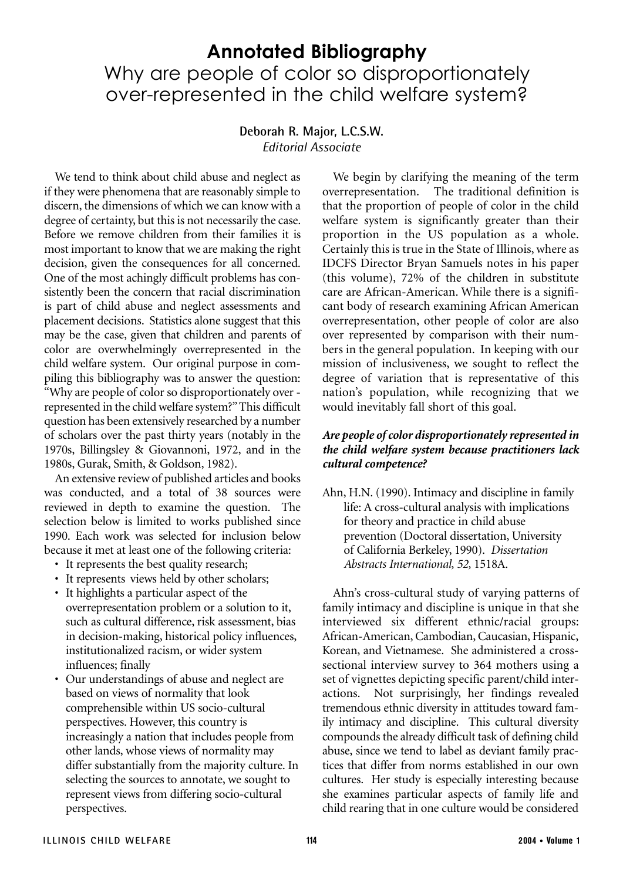# **Annotated Bibliography** Why are people of color so disproportionately over-represented in the child welfare system?

#### **Deborah R. Major, L.C.S.W.** *Editorial Associate*

We tend to think about child abuse and neglect as if they were phenomena that are reasonably simple to discern, the dimensions of which we can know with a degree of certainty, but this is not necessarily the case. Before we remove children from their families it is most important to know that we are making the right decision, given the consequences for all concerned. One of the most achingly difficult problems has consistently been the concern that racial discrimination is part of child abuse and neglect assessments and placement decisions. Statistics alone suggest that this may be the case, given that children and parents of color are overwhelmingly overrepresented in the child welfare system. Our original purpose in compiling this bibliography was to answer the question: "Why are people of color so disproportionately over represented in the child welfare system?"This difficult question has been extensively researched by a number of scholars over the past thirty years (notably in the 1970s, Billingsley & Giovannoni, 1972, and in the 1980s, Gurak, Smith, & Goldson, 1982).

An extensive review of published articles and books was conducted, and a total of 38 sources were reviewed in depth to examine the question. The selection below is limited to works published since 1990. Each work was selected for inclusion below because it met at least one of the following criteria:

- It represents the best quality research;
- It represents views held by other scholars;
- It highlights a particular aspect of the overrepresentation problem or a solution to it, such as cultural difference, risk assessment, bias in decision-making, historical policy influences, institutionalized racism, or wider system influences; finally
- Our understandings of abuse and neglect are based on views of normality that look comprehensible within US socio-cultural perspectives. However, this country is increasingly a nation that includes people from other lands, whose views of normality may differ substantially from the majority culture. In selecting the sources to annotate, we sought to represent views from differing socio-cultural perspectives.

We begin by clarifying the meaning of the term overrepresentation. The traditional definition is that the proportion of people of color in the child welfare system is significantly greater than their proportion in the US population as a whole. Certainly this is true in the State of Illinois, where as IDCFS Director Bryan Samuels notes in his paper (this volume), 72% of the children in substitute care are African-American. While there is a significant body of research examining African American overrepresentation, other people of color are also over represented by comparison with their numbers in the general population. In keeping with our mission of inclusiveness, we sought to reflect the degree of variation that is representative of this nation's population, while recognizing that we would inevitably fall short of this goal.

#### *Are people of color disproportionately represented in the child welfare system because practitioners lack cultural competence?*

Ahn, H.N. (1990). Intimacy and discipline in family life: A cross-cultural analysis with implications for theory and practice in child abuse prevention (Doctoral dissertation, University of California Berkeley, 1990). *Dissertation Abstracts International, 52,* 1518A.

Ahn's cross-cultural study of varying patterns of family intimacy and discipline is unique in that she interviewed six different ethnic/racial groups: African-American, Cambodian, Caucasian, Hispanic, Korean, and Vietnamese. She administered a crosssectional interview survey to 364 mothers using a set of vignettes depicting specific parent/child interactions. Not surprisingly, her findings revealed tremendous ethnic diversity in attitudes toward family intimacy and discipline. This cultural diversity compounds the already difficult task of defining child abuse, since we tend to label as deviant family practices that differ from norms established in our own cultures. Her study is especially interesting because she examines particular aspects of family life and child rearing that in one culture would be considered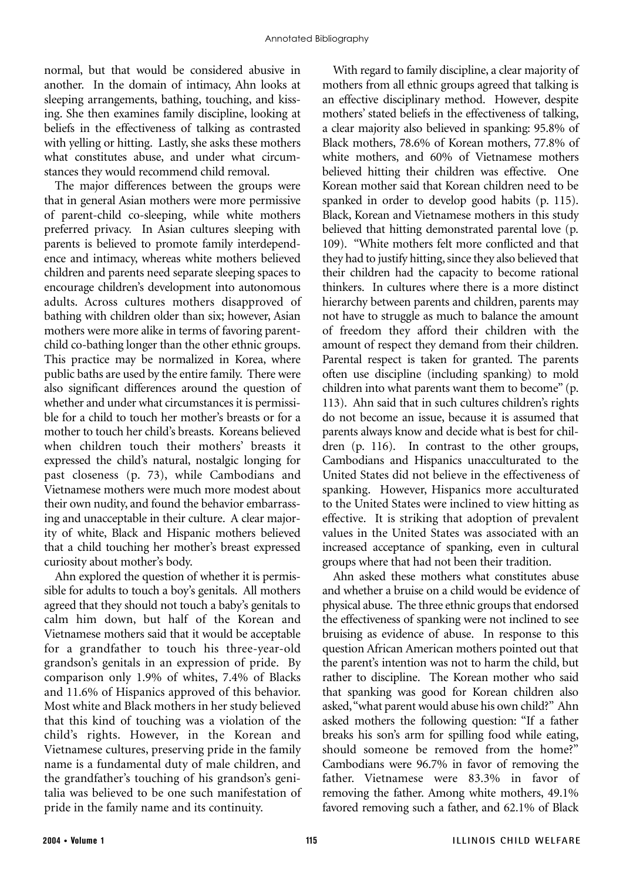normal, but that would be considered abusive in another. In the domain of intimacy, Ahn looks at sleeping arrangements, bathing, touching, and kissing. She then examines family discipline, looking at beliefs in the effectiveness of talking as contrasted with yelling or hitting. Lastly, she asks these mothers what constitutes abuse, and under what circumstances they would recommend child removal.

The major differences between the groups were that in general Asian mothers were more permissive of parent-child co-sleeping, while white mothers preferred privacy. In Asian cultures sleeping with parents is believed to promote family interdependence and intimacy, whereas white mothers believed children and parents need separate sleeping spaces to encourage children's development into autonomous adults. Across cultures mothers disapproved of bathing with children older than six; however, Asian mothers were more alike in terms of favoring parentchild co-bathing longer than the other ethnic groups. This practice may be normalized in Korea, where public baths are used by the entire family. There were also significant differences around the question of whether and under what circumstances it is permissible for a child to touch her mother's breasts or for a mother to touch her child's breasts. Koreans believed when children touch their mothers' breasts it expressed the child's natural, nostalgic longing for past closeness (p. 73), while Cambodians and Vietnamese mothers were much more modest about their own nudity, and found the behavior embarrassing and unacceptable in their culture. A clear majority of white, Black and Hispanic mothers believed that a child touching her mother's breast expressed curiosity about mother's body.

Ahn explored the question of whether it is permissible for adults to touch a boy's genitals. All mothers agreed that they should not touch a baby's genitals to calm him down, but half of the Korean and Vietnamese mothers said that it would be acceptable for a grandfather to touch his three-year-old grandson's genitals in an expression of pride. By comparison only 1.9% of whites, 7.4% of Blacks and 11.6% of Hispanics approved of this behavior. Most white and Black mothers in her study believed that this kind of touching was a violation of the child's rights. However, in the Korean and Vietnamese cultures, preserving pride in the family name is a fundamental duty of male children, and the grandfather's touching of his grandson's genitalia was believed to be one such manifestation of pride in the family name and its continuity.

With regard to family discipline, a clear majority of mothers from all ethnic groups agreed that talking is an effective disciplinary method. However, despite mothers' stated beliefs in the effectiveness of talking, a clear majority also believed in spanking: 95.8% of Black mothers, 78.6% of Korean mothers, 77.8% of white mothers, and 60% of Vietnamese mothers believed hitting their children was effective. One Korean mother said that Korean children need to be spanked in order to develop good habits (p. 115). Black, Korean and Vietnamese mothers in this study believed that hitting demonstrated parental love (p. 109). "White mothers felt more conflicted and that they had to justify hitting, since they also believed that their children had the capacity to become rational thinkers. In cultures where there is a more distinct hierarchy between parents and children, parents may not have to struggle as much to balance the amount of freedom they afford their children with the amount of respect they demand from their children. Parental respect is taken for granted. The parents often use discipline (including spanking) to mold children into what parents want them to become" (p. 113). Ahn said that in such cultures children's rights do not become an issue, because it is assumed that parents always know and decide what is best for children (p. 116). In contrast to the other groups, Cambodians and Hispanics unacculturated to the United States did not believe in the effectiveness of spanking. However, Hispanics more acculturated to the United States were inclined to view hitting as effective. It is striking that adoption of prevalent values in the United States was associated with an increased acceptance of spanking, even in cultural groups where that had not been their tradition.

Ahn asked these mothers what constitutes abuse and whether a bruise on a child would be evidence of physical abuse. The three ethnic groups that endorsed the effectiveness of spanking were not inclined to see bruising as evidence of abuse. In response to this question African American mothers pointed out that the parent's intention was not to harm the child, but rather to discipline. The Korean mother who said that spanking was good for Korean children also asked,"what parent would abuse his own child?" Ahn asked mothers the following question: "If a father breaks his son's arm for spilling food while eating, should someone be removed from the home?" Cambodians were 96.7% in favor of removing the father. Vietnamese were 83.3% in favor of removing the father. Among white mothers, 49.1% favored removing such a father, and 62.1% of Black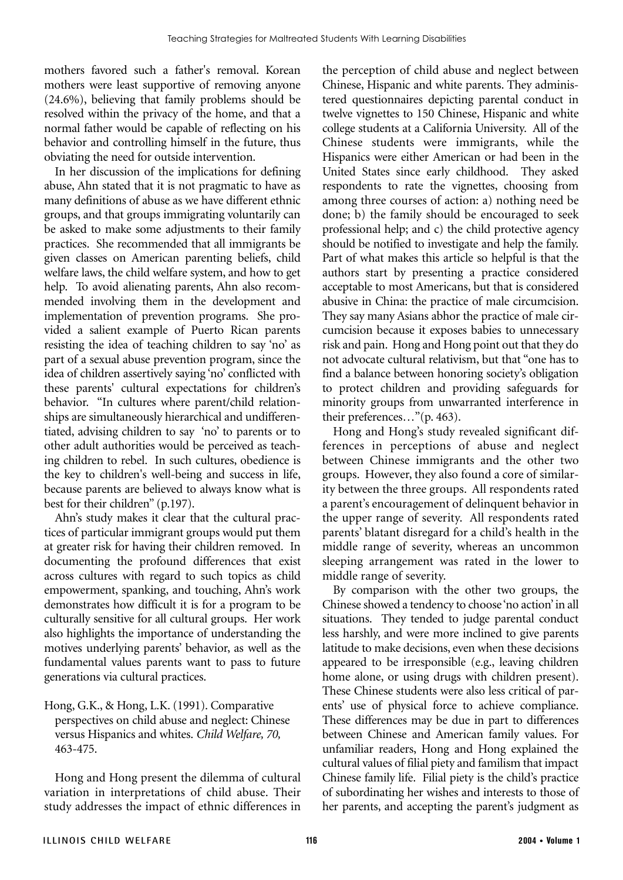mothers favored such a father's removal. Korean mothers were least supportive of removing anyone (24.6%), believing that family problems should be resolved within the privacy of the home, and that a normal father would be capable of reflecting on his behavior and controlling himself in the future, thus obviating the need for outside intervention.

In her discussion of the implications for defining abuse, Ahn stated that it is not pragmatic to have as many definitions of abuse as we have different ethnic groups, and that groups immigrating voluntarily can be asked to make some adjustments to their family practices. She recommended that all immigrants be given classes on American parenting beliefs, child welfare laws, the child welfare system, and how to get help. To avoid alienating parents, Ahn also recommended involving them in the development and implementation of prevention programs. She provided a salient example of Puerto Rican parents resisting the idea of teaching children to say 'no' as part of a sexual abuse prevention program, since the idea of children assertively saying 'no' conflicted with these parents' cultural expectations for children's behavior. "In cultures where parent/child relationships are simultaneously hierarchical and undifferentiated, advising children to say 'no' to parents or to other adult authorities would be perceived as teaching children to rebel. In such cultures, obedience is the key to children's well-being and success in life, because parents are believed to always know what is best for their children" (p.197).

Ahn's study makes it clear that the cultural practices of particular immigrant groups would put them at greater risk for having their children removed. In documenting the profound differences that exist across cultures with regard to such topics as child empowerment, spanking, and touching, Ahn's work demonstrates how difficult it is for a program to be culturally sensitive for all cultural groups. Her work also highlights the importance of understanding the motives underlying parents' behavior, as well as the fundamental values parents want to pass to future generations via cultural practices.

Hong, G.K., & Hong, L.K. (1991). Comparative perspectives on child abuse and neglect: Chinese versus Hispanics and whites. *Child Welfare, 70,* 463-475.

Hong and Hong present the dilemma of cultural variation in interpretations of child abuse. Their study addresses the impact of ethnic differences in the perception of child abuse and neglect between Chinese, Hispanic and white parents. They administered questionnaires depicting parental conduct in twelve vignettes to 150 Chinese, Hispanic and white college students at a California University. All of the Chinese students were immigrants, while the Hispanics were either American or had been in the United States since early childhood. They asked respondents to rate the vignettes, choosing from among three courses of action: a) nothing need be done; b) the family should be encouraged to seek professional help; and c) the child protective agency should be notified to investigate and help the family. Part of what makes this article so helpful is that the authors start by presenting a practice considered acceptable to most Americans, but that is considered abusive in China: the practice of male circumcision. They say many Asians abhor the practice of male circumcision because it exposes babies to unnecessary risk and pain. Hong and Hong point out that they do not advocate cultural relativism, but that "one has to find a balance between honoring society's obligation to protect children and providing safeguards for minority groups from unwarranted interference in their preferences…"(p. 463).

Hong and Hong's study revealed significant differences in perceptions of abuse and neglect between Chinese immigrants and the other two groups. However, they also found a core of similarity between the three groups. All respondents rated a parent's encouragement of delinquent behavior in the upper range of severity. All respondents rated parents' blatant disregard for a child's health in the middle range of severity, whereas an uncommon sleeping arrangement was rated in the lower to middle range of severity.

By comparison with the other two groups, the Chinese showed a tendency to choose 'no action' in all situations. They tended to judge parental conduct less harshly, and were more inclined to give parents latitude to make decisions, even when these decisions appeared to be irresponsible (e.g., leaving children home alone, or using drugs with children present). These Chinese students were also less critical of parents' use of physical force to achieve compliance. These differences may be due in part to differences between Chinese and American family values. For unfamiliar readers, Hong and Hong explained the cultural values of filial piety and familism that impact Chinese family life. Filial piety is the child's practice of subordinating her wishes and interests to those of her parents, and accepting the parent's judgment as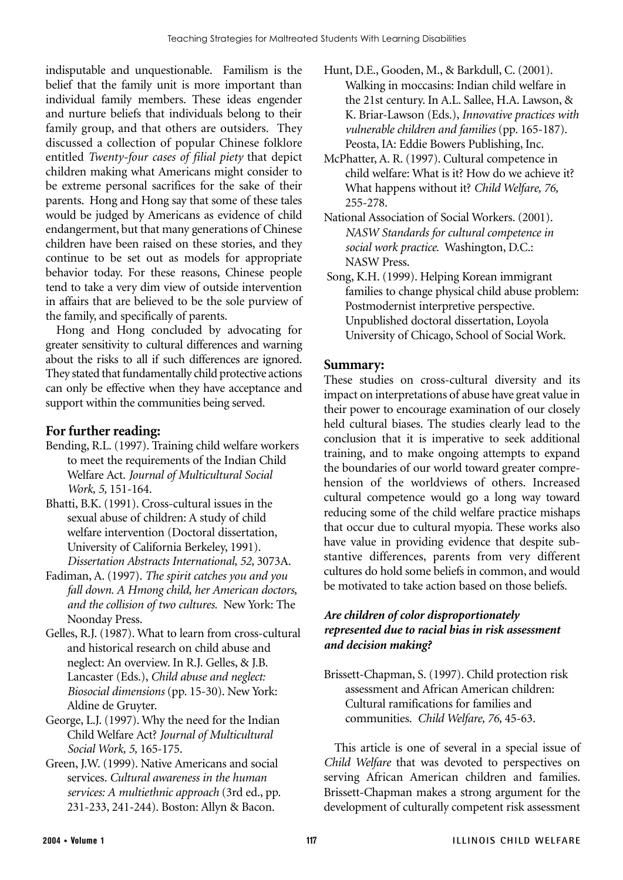indisputable and unquestionable. Familism is the belief that the family unit is more important than individual family members. These ideas engender and nurture beliefs that individuals belong to their family group, and that others are outsiders. They discussed a collection of popular Chinese folklore entitled *Twenty-four cases of filial piety* that depict children making what Americans might consider to be extreme personal sacrifices for the sake of their parents. Hong and Hong say that some of these tales would be judged by Americans as evidence of child endangerment, but that many generations of Chinese children have been raised on these stories, and they continue to be set out as models for appropriate behavior today. For these reasons, Chinese people tend to take a very dim view of outside intervention in affairs that are believed to be the sole purview of the family, and specifically of parents.

Hong and Hong concluded by advocating for greater sensitivity to cultural differences and warning about the risks to all if such differences are ignored. They stated that fundamentally child protective actions can only be effective when they have acceptance and support within the communities being served.

# **For further reading:**

- Bending, R.L. (1997). Training child welfare workers to meet the requirements of the Indian Child Welfare Act. *Journal of Multicultural Social Work, 5,* 151-164.
- Bhatti, B.K. (1991). Cross-cultural issues in the sexual abuse of children: A study of child welfare intervention (Doctoral dissertation, University of California Berkeley, 1991). *Dissertation Abstracts International, 52,* 3073A.
- Fadiman, A. (1997). *The spirit catches you and you fall down. A Hmong child, her American doctors, and the collision of two cultures.* New York: The Noonday Press.
- Gelles, R.J. (1987). What to learn from cross-cultural and historical research on child abuse and neglect: An overview. In R.J. Gelles, & J.B. Lancaster (Eds.), *Child abuse and neglect: Biosocial dimensions* (pp. 15-30). New York: Aldine de Gruyter.
- George, L.J. (1997). Why the need for the Indian Child Welfare Act? *Journal of Multicultural Social Work, 5,* 165-175.
- Green, J.W. (1999). Native Americans and social services. *Cultural awareness in the human services: A multiethnic approach* (3rd ed., pp. 231-233, 241-244). Boston: Allyn & Bacon.
- Hunt, D.E., Gooden, M., & Barkdull, C. (2001). Walking in moccasins: Indian child welfare in the 21st century. In A.L. Sallee, H.A. Lawson, & K. Briar-Lawson (Eds.), *Innovative practices with vulnerable children and families* (pp. 165-187). Peosta, IA: Eddie Bowers Publishing, Inc.
- McPhatter, A. R. (1997). Cultural competence in child welfare: What is it? How do we achieve it? What happens without it? *Child Welfare, 76,* 255-278.
- National Association of Social Workers. (2001). *NASW Standards for cultural competence in social work practice.* Washington, D.C.: NASW Press.
- Song, K.H. (1999). Helping Korean immigrant families to change physical child abuse problem: Postmodernist interpretive perspective. Unpublished doctoral dissertation, Loyola University of Chicago, School of Social Work.

## **Summary:**

These studies on cross-cultural diversity and its impact on interpretations of abuse have great value in their power to encourage examination of our closely held cultural biases. The studies clearly lead to the conclusion that it is imperative to seek additional training, and to make ongoing attempts to expand the boundaries of our world toward greater comprehension of the worldviews of others. Increased cultural competence would go a long way toward reducing some of the child welfare practice mishaps that occur due to cultural myopia. These works also have value in providing evidence that despite substantive differences, parents from very different cultures do hold some beliefs in common, and would be motivated to take action based on those beliefs.

## *Are children of color disproportionately represented due to racial bias in risk assessment and decision making?*

Brissett-Chapman, S. (1997). Child protection risk assessment and African American children: Cultural ramifications for families and communities. *Child Welfare, 76,* 45-63.

This article is one of several in a special issue of *Child Welfare* that was devoted to perspectives on serving African American children and families. Brissett-Chapman makes a strong argument for the development of culturally competent risk assessment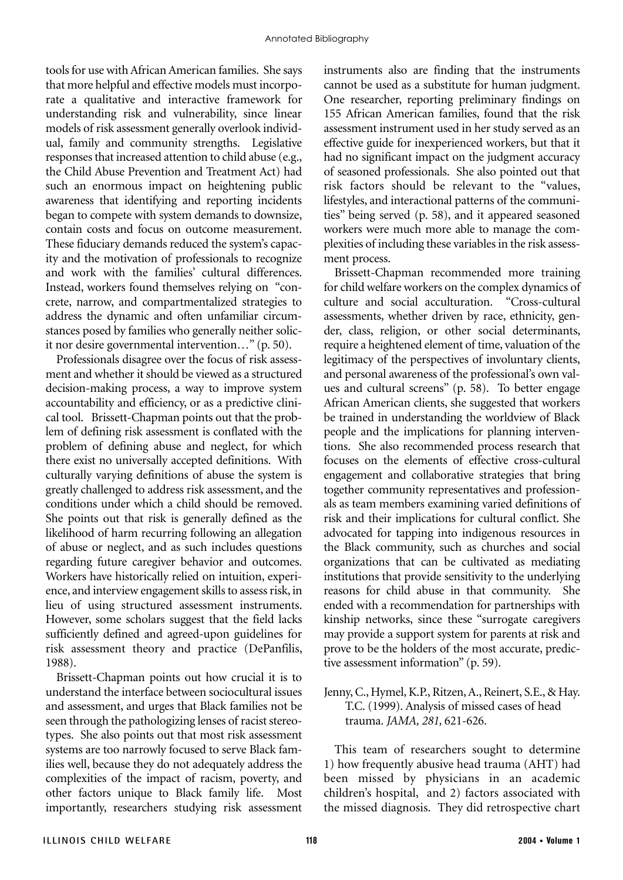tools for use with African American families. She says that more helpful and effective models must incorporate a qualitative and interactive framework for understanding risk and vulnerability, since linear models of risk assessment generally overlook individual, family and community strengths. Legislative responses that increased attention to child abuse (e.g., the Child Abuse Prevention and Treatment Act) had such an enormous impact on heightening public awareness that identifying and reporting incidents began to compete with system demands to downsize, contain costs and focus on outcome measurement. These fiduciary demands reduced the system's capacity and the motivation of professionals to recognize and work with the families' cultural differences. Instead, workers found themselves relying on "concrete, narrow, and compartmentalized strategies to address the dynamic and often unfamiliar circumstances posed by families who generally neither solicit nor desire governmental intervention…" (p. 50).

Professionals disagree over the focus of risk assessment and whether it should be viewed as a structured decision-making process, a way to improve system accountability and efficiency, or as a predictive clinical tool. Brissett-Chapman points out that the problem of defining risk assessment is conflated with the problem of defining abuse and neglect, for which there exist no universally accepted definitions. With culturally varying definitions of abuse the system is greatly challenged to address risk assessment, and the conditions under which a child should be removed. She points out that risk is generally defined as the likelihood of harm recurring following an allegation of abuse or neglect, and as such includes questions regarding future caregiver behavior and outcomes. Workers have historically relied on intuition, experience, and interview engagement skills to assess risk, in lieu of using structured assessment instruments. However, some scholars suggest that the field lacks sufficiently defined and agreed-upon guidelines for risk assessment theory and practice (DePanfilis, 1988).

Brissett-Chapman points out how crucial it is to understand the interface between sociocultural issues and assessment, and urges that Black families not be seen through the pathologizing lenses of racist stereotypes. She also points out that most risk assessment systems are too narrowly focused to serve Black families well, because they do not adequately address the complexities of the impact of racism, poverty, and other factors unique to Black family life. Most importantly, researchers studying risk assessment instruments also are finding that the instruments cannot be used as a substitute for human judgment. One researcher, reporting preliminary findings on 155 African American families, found that the risk assessment instrument used in her study served as an effective guide for inexperienced workers, but that it had no significant impact on the judgment accuracy of seasoned professionals. She also pointed out that risk factors should be relevant to the "values, lifestyles, and interactional patterns of the communities" being served (p. 58), and it appeared seasoned workers were much more able to manage the complexities of including these variables in the risk assessment process.

Brissett-Chapman recommended more training for child welfare workers on the complex dynamics of culture and social acculturation. "Cross-cultural assessments, whether driven by race, ethnicity, gender, class, religion, or other social determinants, require a heightened element of time, valuation of the legitimacy of the perspectives of involuntary clients, and personal awareness of the professional's own values and cultural screens" (p. 58). To better engage African American clients, she suggested that workers be trained in understanding the worldview of Black people and the implications for planning interventions. She also recommended process research that focuses on the elements of effective cross-cultural engagement and collaborative strategies that bring together community representatives and professionals as team members examining varied definitions of risk and their implications for cultural conflict. She advocated for tapping into indigenous resources in the Black community, such as churches and social organizations that can be cultivated as mediating institutions that provide sensitivity to the underlying reasons for child abuse in that community. She ended with a recommendation for partnerships with kinship networks, since these "surrogate caregivers may provide a support system for parents at risk and prove to be the holders of the most accurate, predictive assessment information" (p. 59).

Jenny, C., Hymel, K.P., Ritzen, A., Reinert, S.E., & Hay. T.C. (1999). Analysis of missed cases of head trauma. *JAMA, 281,* 621-626.

This team of researchers sought to determine 1) how frequently abusive head trauma (AHT) had been missed by physicians in an academic children's hospital, and 2) factors associated with the missed diagnosis. They did retrospective chart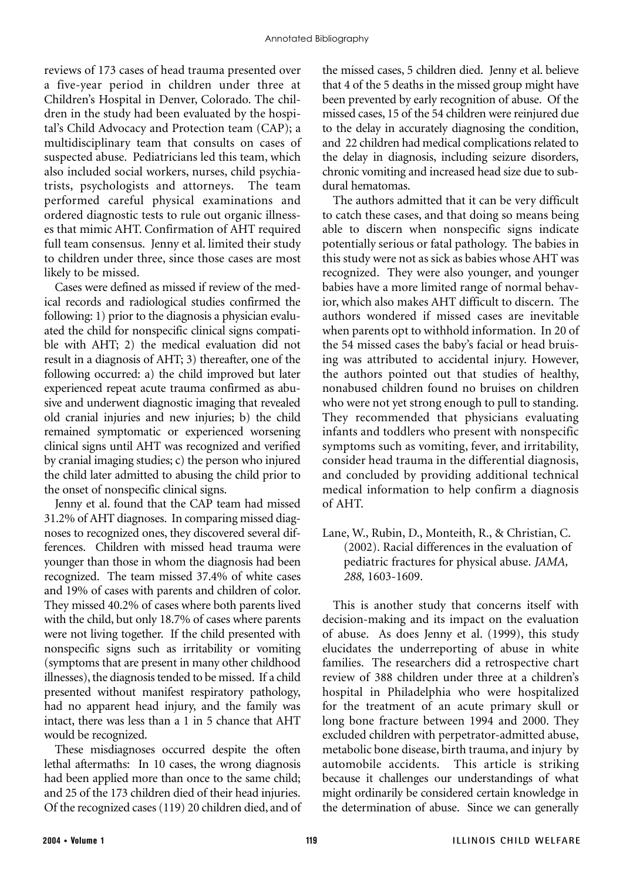reviews of 173 cases of head trauma presented over a five-year period in children under three at Children's Hospital in Denver, Colorado. The children in the study had been evaluated by the hospital's Child Advocacy and Protection team (CAP); a multidisciplinary team that consults on cases of suspected abuse. Pediatricians led this team, which also included social workers, nurses, child psychiatrists, psychologists and attorneys. The team performed careful physical examinations and ordered diagnostic tests to rule out organic illnesses that mimic AHT. Confirmation of AHT required full team consensus. Jenny et al. limited their study to children under three, since those cases are most likely to be missed.

Cases were defined as missed if review of the medical records and radiological studies confirmed the following: 1) prior to the diagnosis a physician evaluated the child for nonspecific clinical signs compatible with AHT; 2) the medical evaluation did not result in a diagnosis of AHT; 3) thereafter, one of the following occurred: a) the child improved but later experienced repeat acute trauma confirmed as abusive and underwent diagnostic imaging that revealed old cranial injuries and new injuries; b) the child remained symptomatic or experienced worsening clinical signs until AHT was recognized and verified by cranial imaging studies; c) the person who injured the child later admitted to abusing the child prior to the onset of nonspecific clinical signs.

Jenny et al. found that the CAP team had missed 31.2% of AHT diagnoses. In comparing missed diagnoses to recognized ones, they discovered several differences. Children with missed head trauma were younger than those in whom the diagnosis had been recognized. The team missed 37.4% of white cases and 19% of cases with parents and children of color. They missed 40.2% of cases where both parents lived with the child, but only 18.7% of cases where parents were not living together. If the child presented with nonspecific signs such as irritability or vomiting (symptoms that are present in many other childhood illnesses), the diagnosis tended to be missed. If a child presented without manifest respiratory pathology, had no apparent head injury, and the family was intact, there was less than a 1 in 5 chance that AHT would be recognized.

These misdiagnoses occurred despite the often lethal aftermaths: In 10 cases, the wrong diagnosis had been applied more than once to the same child; and 25 of the 173 children died of their head injuries. Of the recognized cases (119) 20 children died, and of the missed cases, 5 children died. Jenny et al. believe that 4 of the 5 deaths in the missed group might have been prevented by early recognition of abuse. Of the missed cases, 15 of the 54 children were reinjured due to the delay in accurately diagnosing the condition, and 22 children had medical complications related to the delay in diagnosis, including seizure disorders, chronic vomiting and increased head size due to subdural hematomas.

The authors admitted that it can be very difficult to catch these cases, and that doing so means being able to discern when nonspecific signs indicate potentially serious or fatal pathology. The babies in this study were not as sick as babies whose AHT was recognized. They were also younger, and younger babies have a more limited range of normal behavior, which also makes AHT difficult to discern. The authors wondered if missed cases are inevitable when parents opt to withhold information. In 20 of the 54 missed cases the baby's facial or head bruising was attributed to accidental injury. However, the authors pointed out that studies of healthy, nonabused children found no bruises on children who were not yet strong enough to pull to standing. They recommended that physicians evaluating infants and toddlers who present with nonspecific symptoms such as vomiting, fever, and irritability, consider head trauma in the differential diagnosis, and concluded by providing additional technical medical information to help confirm a diagnosis of AHT.

Lane, W., Rubin, D., Monteith, R., & Christian, C. (2002). Racial differences in the evaluation of pediatric fractures for physical abuse. *JAMA, 288,* 1603-1609.

This is another study that concerns itself with decision-making and its impact on the evaluation of abuse. As does Jenny et al. (1999), this study elucidates the underreporting of abuse in white families. The researchers did a retrospective chart review of 388 children under three at a children's hospital in Philadelphia who were hospitalized for the treatment of an acute primary skull or long bone fracture between 1994 and 2000. They excluded children with perpetrator-admitted abuse, metabolic bone disease, birth trauma, and injury by automobile accidents. This article is striking because it challenges our understandings of what might ordinarily be considered certain knowledge in the determination of abuse. Since we can generally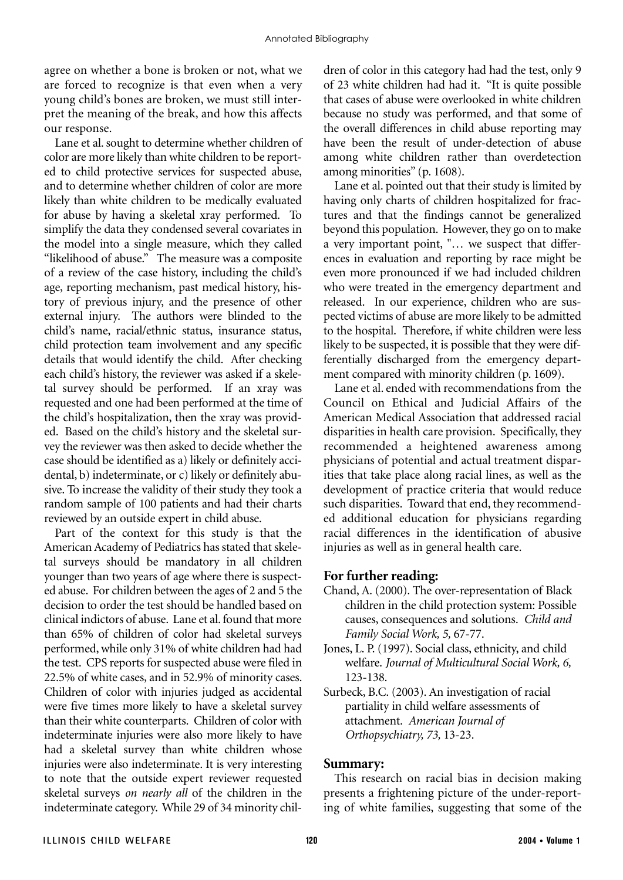agree on whether a bone is broken or not, what we are forced to recognize is that even when a very young child's bones are broken, we must still interpret the meaning of the break, and how this affects our response.

Lane et al. sought to determine whether children of color are more likely than white children to be reported to child protective services for suspected abuse, and to determine whether children of color are more likely than white children to be medically evaluated for abuse by having a skeletal xray performed. To simplify the data they condensed several covariates in the model into a single measure, which they called "likelihood of abuse." The measure was a composite of a review of the case history, including the child's age, reporting mechanism, past medical history, history of previous injury, and the presence of other external injury. The authors were blinded to the child's name, racial/ethnic status, insurance status, child protection team involvement and any specific details that would identify the child. After checking each child's history, the reviewer was asked if a skeletal survey should be performed. If an xray was requested and one had been performed at the time of the child's hospitalization, then the xray was provided. Based on the child's history and the skeletal survey the reviewer was then asked to decide whether the case should be identified as a) likely or definitely accidental, b) indeterminate, or c) likely or definitely abusive. To increase the validity of their study they took a random sample of 100 patients and had their charts reviewed by an outside expert in child abuse.

Part of the context for this study is that the American Academy of Pediatrics has stated that skeletal surveys should be mandatory in all children younger than two years of age where there is suspected abuse. For children between the ages of 2 and 5 the decision to order the test should be handled based on clinical indictors of abuse. Lane et al. found that more than 65% of children of color had skeletal surveys performed, while only 31% of white children had had the test. CPS reports for suspected abuse were filed in 22.5% of white cases, and in 52.9% of minority cases. Children of color with injuries judged as accidental were five times more likely to have a skeletal survey than their white counterparts. Children of color with indeterminate injuries were also more likely to have had a skeletal survey than white children whose injuries were also indeterminate. It is very interesting to note that the outside expert reviewer requested skeletal surveys *on nearly all* of the children in the indeterminate category. While 29 of 34 minority children of color in this category had had the test, only 9 of 23 white children had had it. "It is quite possible that cases of abuse were overlooked in white children because no study was performed, and that some of the overall differences in child abuse reporting may have been the result of under-detection of abuse among white children rather than overdetection among minorities" (p. 1608).

Lane et al. pointed out that their study is limited by having only charts of children hospitalized for fractures and that the findings cannot be generalized beyond this population. However, they go on to make a very important point, "… we suspect that differences in evaluation and reporting by race might be even more pronounced if we had included children who were treated in the emergency department and released. In our experience, children who are suspected victims of abuse are more likely to be admitted to the hospital. Therefore, if white children were less likely to be suspected, it is possible that they were differentially discharged from the emergency department compared with minority children (p. 1609).

Lane et al. ended with recommendations from the Council on Ethical and Judicial Affairs of the American Medical Association that addressed racial disparities in health care provision. Specifically, they recommended a heightened awareness among physicians of potential and actual treatment disparities that take place along racial lines, as well as the development of practice criteria that would reduce such disparities. Toward that end, they recommended additional education for physicians regarding racial differences in the identification of abusive injuries as well as in general health care.

## **For further reading:**

- Chand, A. (2000). The over-representation of Black children in the child protection system: Possible causes, consequences and solutions. *Child and Family Social Work, 5,* 67-77.
- Jones, L. P. (1997). Social class, ethnicity, and child welfare. *Journal of Multicultural Social Work, 6,* 123-138.
- Surbeck, B.C. (2003). An investigation of racial partiality in child welfare assessments of attachment. *American Journal of Orthopsychiatry, 73,* 13-23.

#### **Summary:**

This research on racial bias in decision making presents a frightening picture of the under-reporting of white families, suggesting that some of the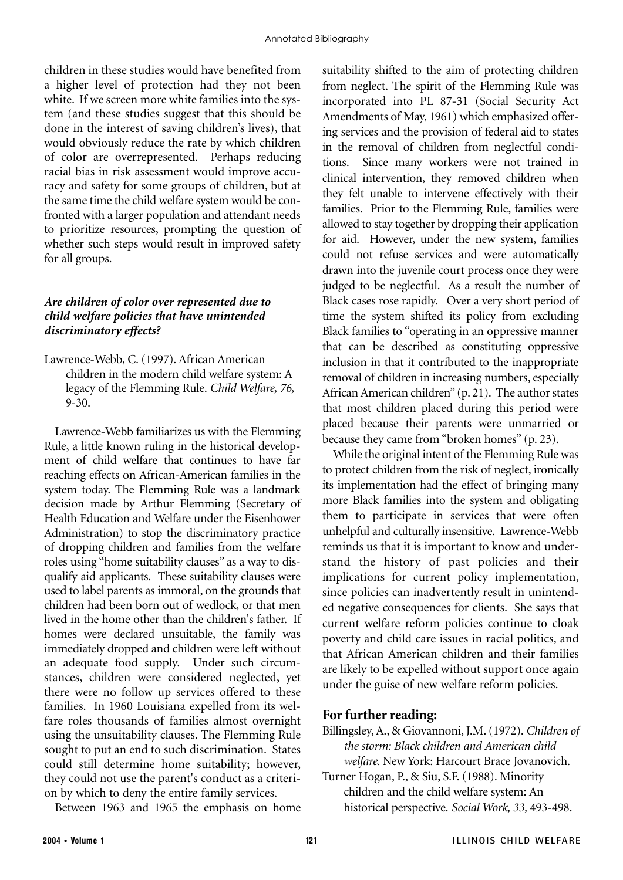children in these studies would have benefited from a higher level of protection had they not been white. If we screen more white families into the system (and these studies suggest that this should be done in the interest of saving children's lives), that would obviously reduce the rate by which children of color are overrepresented. Perhaps reducing racial bias in risk assessment would improve accuracy and safety for some groups of children, but at the same time the child welfare system would be confronted with a larger population and attendant needs to prioritize resources, prompting the question of whether such steps would result in improved safety for all groups.

#### *Are children of color over represented due to child welfare policies that have unintended discriminatory effects?*

Lawrence-Webb, C. (1997). African American children in the modern child welfare system: A legacy of the Flemming Rule. *Child Welfare, 76,* 9-30.

Lawrence-Webb familiarizes us with the Flemming Rule, a little known ruling in the historical development of child welfare that continues to have far reaching effects on African-American families in the system today. The Flemming Rule was a landmark decision made by Arthur Flemming (Secretary of Health Education and Welfare under the Eisenhower Administration) to stop the discriminatory practice of dropping children and families from the welfare roles using "home suitability clauses" as a way to disqualify aid applicants. These suitability clauses were used to label parents as immoral, on the grounds that children had been born out of wedlock, or that men lived in the home other than the children's father. If homes were declared unsuitable, the family was immediately dropped and children were left without an adequate food supply. Under such circumstances, children were considered neglected, yet there were no follow up services offered to these families. In 1960 Louisiana expelled from its welfare roles thousands of families almost overnight using the unsuitability clauses. The Flemming Rule sought to put an end to such discrimination. States could still determine home suitability; however, they could not use the parent's conduct as a criterion by which to deny the entire family services.

Between 1963 and 1965 the emphasis on home

suitability shifted to the aim of protecting children from neglect. The spirit of the Flemming Rule was incorporated into PL 87-31 (Social Security Act Amendments of May, 1961) which emphasized offering services and the provision of federal aid to states in the removal of children from neglectful conditions. Since many workers were not trained in clinical intervention, they removed children when they felt unable to intervene effectively with their families. Prior to the Flemming Rule, families were allowed to stay together by dropping their application for aid. However, under the new system, families could not refuse services and were automatically drawn into the juvenile court process once they were judged to be neglectful. As a result the number of Black cases rose rapidly. Over a very short period of time the system shifted its policy from excluding Black families to "operating in an oppressive manner that can be described as constituting oppressive inclusion in that it contributed to the inappropriate removal of children in increasing numbers, especially African American children" (p. 21). The author states that most children placed during this period were placed because their parents were unmarried or because they came from "broken homes" (p. 23).

While the original intent of the Flemming Rule was to protect children from the risk of neglect, ironically its implementation had the effect of bringing many more Black families into the system and obligating them to participate in services that were often unhelpful and culturally insensitive. Lawrence-Webb reminds us that it is important to know and understand the history of past policies and their implications for current policy implementation, since policies can inadvertently result in unintended negative consequences for clients. She says that current welfare reform policies continue to cloak poverty and child care issues in racial politics, and that African American children and their families are likely to be expelled without support once again under the guise of new welfare reform policies.

#### **For further reading:**

- Billingsley, A., & Giovannoni, J.M. (1972). *Children of the storm: Black children and American child welfare.* New York: Harcourt Brace Jovanovich.
- Turner Hogan, P., & Siu, S.F. (1988). Minority children and the child welfare system: An historical perspective. *Social Work, 33,* 493-498.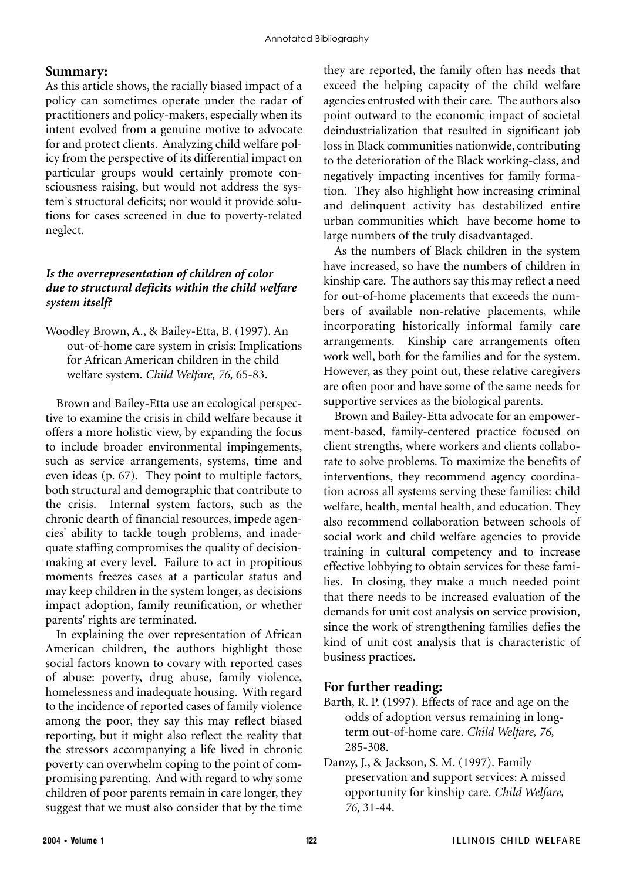#### **Summary:**

As this article shows, the racially biased impact of a policy can sometimes operate under the radar of practitioners and policy-makers, especially when its intent evolved from a genuine motive to advocate for and protect clients. Analyzing child welfare policy from the perspective of its differential impact on particular groups would certainly promote consciousness raising, but would not address the system's structural deficits; nor would it provide solutions for cases screened in due to poverty-related neglect.

### *Is the overrepresentation of children of color due to structural deficits within the child welfare system itself?*

Woodley Brown, A., & Bailey-Etta, B. (1997). An out-of-home care system in crisis: Implications for African American children in the child welfare system. *Child Welfare, 76,* 65-83.

Brown and Bailey-Etta use an ecological perspective to examine the crisis in child welfare because it offers a more holistic view, by expanding the focus to include broader environmental impingements, such as service arrangements, systems, time and even ideas (p. 67). They point to multiple factors, both structural and demographic that contribute to the crisis. Internal system factors, such as the chronic dearth of financial resources, impede agencies' ability to tackle tough problems, and inadequate staffing compromises the quality of decisionmaking at every level. Failure to act in propitious moments freezes cases at a particular status and may keep children in the system longer, as decisions impact adoption, family reunification, or whether parents' rights are terminated.

In explaining the over representation of African American children, the authors highlight those social factors known to covary with reported cases of abuse: poverty, drug abuse, family violence, homelessness and inadequate housing. With regard to the incidence of reported cases of family violence among the poor, they say this may reflect biased reporting, but it might also reflect the reality that the stressors accompanying a life lived in chronic poverty can overwhelm coping to the point of compromising parenting. And with regard to why some children of poor parents remain in care longer, they suggest that we must also consider that by the time

they are reported, the family often has needs that exceed the helping capacity of the child welfare agencies entrusted with their care. The authors also point outward to the economic impact of societal deindustrialization that resulted in significant job loss in Black communities nationwide, contributing to the deterioration of the Black working-class, and negatively impacting incentives for family formation. They also highlight how increasing criminal and delinquent activity has destabilized entire urban communities which have become home to large numbers of the truly disadvantaged.

As the numbers of Black children in the system have increased, so have the numbers of children in kinship care. The authors say this may reflect a need for out-of-home placements that exceeds the numbers of available non-relative placements, while incorporating historically informal family care arrangements. Kinship care arrangements often work well, both for the families and for the system. However, as they point out, these relative caregivers are often poor and have some of the same needs for supportive services as the biological parents.

Brown and Bailey-Etta advocate for an empowerment-based, family-centered practice focused on client strengths, where workers and clients collaborate to solve problems. To maximize the benefits of interventions, they recommend agency coordination across all systems serving these families: child welfare, health, mental health, and education. They also recommend collaboration between schools of social work and child welfare agencies to provide training in cultural competency and to increase effective lobbying to obtain services for these families. In closing, they make a much needed point that there needs to be increased evaluation of the demands for unit cost analysis on service provision, since the work of strengthening families defies the kind of unit cost analysis that is characteristic of business practices.

## **For further reading:**

- Barth, R. P. (1997). Effects of race and age on the odds of adoption versus remaining in longterm out-of-home care. *Child Welfare, 76,* 285-308.
- Danzy, J., & Jackson, S. M. (1997). Family preservation and support services: A missed opportunity for kinship care. *Child Welfare, 76,* 31-44.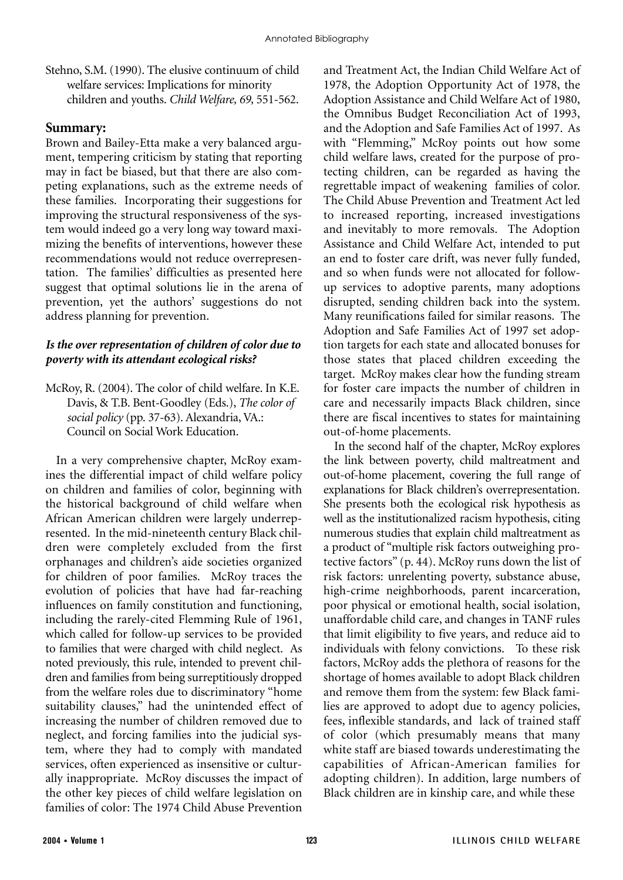Stehno, S.M. (1990). The elusive continuum of child welfare services: Implications for minority children and youths. *Child Welfare, 69,* 551-562.

### **Summary:**

Brown and Bailey-Etta make a very balanced argument, tempering criticism by stating that reporting may in fact be biased, but that there are also competing explanations, such as the extreme needs of these families. Incorporating their suggestions for improving the structural responsiveness of the system would indeed go a very long way toward maximizing the benefits of interventions, however these recommendations would not reduce overrepresentation. The families' difficulties as presented here suggest that optimal solutions lie in the arena of prevention, yet the authors' suggestions do not address planning for prevention.

#### *Is the over representation of children of color due to poverty with its attendant ecological risks?*

McRoy, R. (2004). The color of child welfare. In K.E. Davis, & T.B. Bent-Goodley (Eds.), *The color of social policy* (pp. 37-63). Alexandria, VA.: Council on Social Work Education.

In a very comprehensive chapter, McRoy examines the differential impact of child welfare policy on children and families of color, beginning with the historical background of child welfare when African American children were largely underrepresented. In the mid-nineteenth century Black children were completely excluded from the first orphanages and children's aide societies organized for children of poor families. McRoy traces the evolution of policies that have had far-reaching influences on family constitution and functioning, including the rarely-cited Flemming Rule of 1961, which called for follow-up services to be provided to families that were charged with child neglect. As noted previously, this rule, intended to prevent children and families from being surreptitiously dropped from the welfare roles due to discriminatory "home suitability clauses," had the unintended effect of increasing the number of children removed due to neglect, and forcing families into the judicial system, where they had to comply with mandated services, often experienced as insensitive or culturally inappropriate. McRoy discusses the impact of the other key pieces of child welfare legislation on families of color: The 1974 Child Abuse Prevention

and Treatment Act, the Indian Child Welfare Act of 1978, the Adoption Opportunity Act of 1978, the Adoption Assistance and Child Welfare Act of 1980, the Omnibus Budget Reconciliation Act of 1993, and the Adoption and Safe Families Act of 1997. As with "Flemming," McRoy points out how some child welfare laws, created for the purpose of protecting children, can be regarded as having the regrettable impact of weakening families of color. The Child Abuse Prevention and Treatment Act led to increased reporting, increased investigations and inevitably to more removals. The Adoption Assistance and Child Welfare Act, intended to put an end to foster care drift, was never fully funded, and so when funds were not allocated for followup services to adoptive parents, many adoptions disrupted, sending children back into the system. Many reunifications failed for similar reasons. The Adoption and Safe Families Act of 1997 set adoption targets for each state and allocated bonuses for those states that placed children exceeding the target. McRoy makes clear how the funding stream for foster care impacts the number of children in care and necessarily impacts Black children, since there are fiscal incentives to states for maintaining out-of-home placements.

In the second half of the chapter, McRoy explores the link between poverty, child maltreatment and out-of-home placement, covering the full range of explanations for Black children's overrepresentation. She presents both the ecological risk hypothesis as well as the institutionalized racism hypothesis, citing numerous studies that explain child maltreatment as a product of "multiple risk factors outweighing protective factors" (p. 44). McRoy runs down the list of risk factors: unrelenting poverty, substance abuse, high-crime neighborhoods, parent incarceration, poor physical or emotional health, social isolation, unaffordable child care, and changes in TANF rules that limit eligibility to five years, and reduce aid to individuals with felony convictions. To these risk factors, McRoy adds the plethora of reasons for the shortage of homes available to adopt Black children and remove them from the system: few Black families are approved to adopt due to agency policies, fees, inflexible standards, and lack of trained staff of color (which presumably means that many white staff are biased towards underestimating the capabilities of African-American families for adopting children). In addition, large numbers of Black children are in kinship care, and while these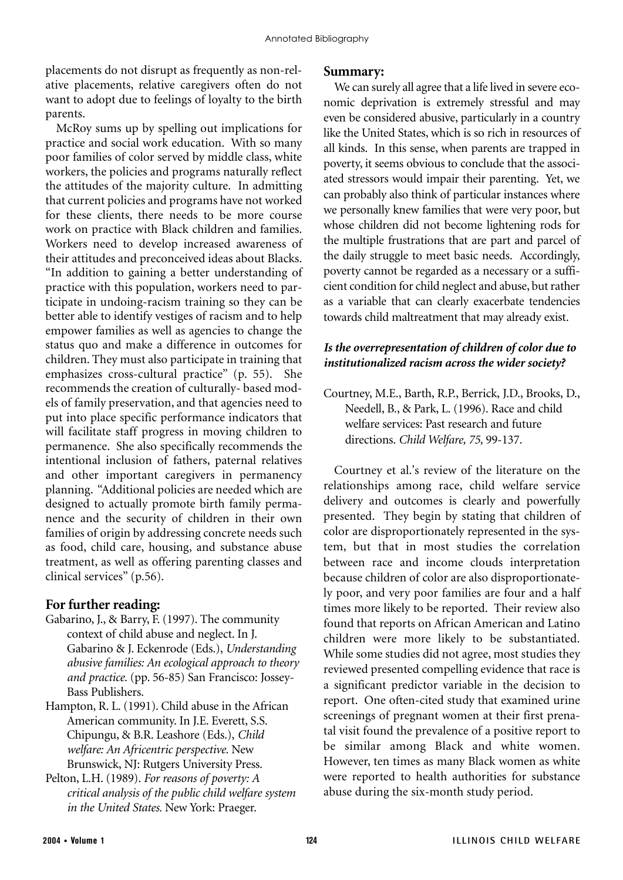placements do not disrupt as frequently as non-relative placements, relative caregivers often do not want to adopt due to feelings of loyalty to the birth parents.

McRoy sums up by spelling out implications for practice and social work education. With so many poor families of color served by middle class, white workers, the policies and programs naturally reflect the attitudes of the majority culture. In admitting that current policies and programs have not worked for these clients, there needs to be more course work on practice with Black children and families. Workers need to develop increased awareness of their attitudes and preconceived ideas about Blacks. "In addition to gaining a better understanding of practice with this population, workers need to participate in undoing-racism training so they can be better able to identify vestiges of racism and to help empower families as well as agencies to change the status quo and make a difference in outcomes for children. They must also participate in training that emphasizes cross-cultural practice" (p. 55). She recommends the creation of culturally- based models of family preservation, and that agencies need to put into place specific performance indicators that will facilitate staff progress in moving children to permanence. She also specifically recommends the intentional inclusion of fathers, paternal relatives and other important caregivers in permanency planning. "Additional policies are needed which are designed to actually promote birth family permanence and the security of children in their own families of origin by addressing concrete needs such as food, child care, housing, and substance abuse treatment, as well as offering parenting classes and clinical services" (p.56).

#### **For further reading:**

- Gabarino, J., & Barry, F. (1997). The community context of child abuse and neglect. In J. Gabarino & J. Eckenrode (Eds.), *Understanding abusive families: An ecological approach to theory and practice.* (pp. 56-85) San Francisco: Jossey-Bass Publishers.
- Hampton, R. L. (1991). Child abuse in the African American community. In J.E. Everett, S.S. Chipungu, & B.R. Leashore (Eds.), *Child welfare: An Africentric perspective.* New Brunswick, NJ: Rutgers University Press.
- Pelton, L.H. (1989). *For reasons of poverty: A critical analysis of the public child welfare system in the United States.* New York: Praeger.

#### **Summary:**

We can surely all agree that a life lived in severe economic deprivation is extremely stressful and may even be considered abusive, particularly in a country like the United States, which is so rich in resources of all kinds. In this sense, when parents are trapped in poverty, it seems obvious to conclude that the associated stressors would impair their parenting. Yet, we can probably also think of particular instances where we personally knew families that were very poor, but whose children did not become lightening rods for the multiple frustrations that are part and parcel of the daily struggle to meet basic needs. Accordingly, poverty cannot be regarded as a necessary or a sufficient condition for child neglect and abuse, but rather as a variable that can clearly exacerbate tendencies towards child maltreatment that may already exist.

#### *Is the overrepresentation of children of color due to institutionalized racism across the wider society?*

Courtney, M.E., Barth, R.P., Berrick, J.D., Brooks, D., Needell, B., & Park, L. (1996). Race and child welfare services: Past research and future directions. *Child Welfare, 75,* 99-137.

Courtney et al.'s review of the literature on the relationships among race, child welfare service delivery and outcomes is clearly and powerfully presented. They begin by stating that children of color are disproportionately represented in the system, but that in most studies the correlation between race and income clouds interpretation because children of color are also disproportionately poor, and very poor families are four and a half times more likely to be reported. Their review also found that reports on African American and Latino children were more likely to be substantiated. While some studies did not agree, most studies they reviewed presented compelling evidence that race is a significant predictor variable in the decision to report. One often-cited study that examined urine screenings of pregnant women at their first prenatal visit found the prevalence of a positive report to be similar among Black and white women. However, ten times as many Black women as white were reported to health authorities for substance abuse during the six-month study period.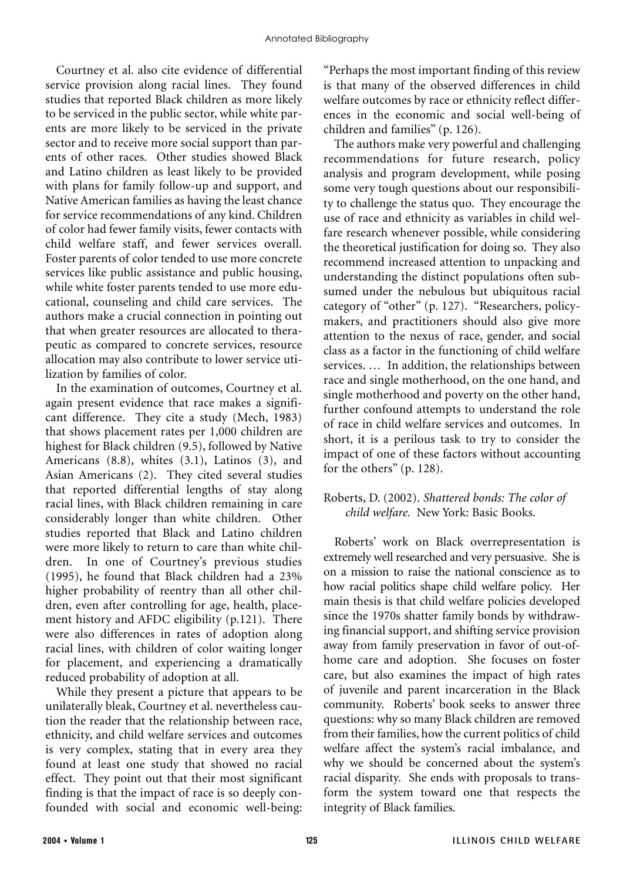Courtney et al. also cite evidence of differential service provision along racial lines. They found studies that reported Black children as more likely to be serviced in the public sector, while white parents are more likely to be serviced in the private sector and to receive more social support than parents of other races. Other studies showed Black and Latino children as least likely to be provided with plans for family follow-up and support, and Native American families as having the least chance for service recommendations of any kind. Children of color had fewer family visits, fewer contacts with child welfare staff, and fewer services overall. Foster parents of color tended to use more concrete services like public assistance and public housing, while white foster parents tended to use more educational, counseling and child care services. The authors make a crucial connection in pointing out that when greater resources are allocated to therapeutic as compared to concrete services, resource allocation may also contribute to lower service utilization by families of color.

In the examination of outcomes, Courtney et al. again present evidence that race makes a significant difference. They cite a study (Mech, 1983) that shows placement rates per 1,000 children are highest for Black children (9.5), followed by Native Americans (8.8), whites (3.1), Latinos (3), and Asian Americans (2). They cited several studies that reported differential lengths of stay along racial lines, with Black children remaining in care considerably longer than white children. Other studies reported that Black and Latino children were more likely to return to care than white children. In one of Courtney's previous studies (1995), he found that Black children had a 23% higher probability of reentry than all other children, even after controlling for age, health, placement history and AFDC eligibility (p.121). There were also differences in rates of adoption along racial lines, with children of color waiting longer for placement, and experiencing a dramatically reduced probability of adoption at all.

While they present a picture that appears to be unilaterally bleak, Courtney et al. nevertheless caution the reader that the relationship between race, ethnicity, and child welfare services and outcomes is very complex, stating that in every area they found at least one study that showed no racial effect. They point out that their most significant finding is that the impact of race is so deeply confounded with social and economic well-being:

"Perhaps the most important finding of this review is that many of the observed differences in child welfare outcomes by race or ethnicity reflect differences in the economic and social well-being of children and families" (p. 126).

The authors make very powerful and challenging recommendations for future research, policy analysis and program development, while posing some very tough questions about our responsibility to challenge the status quo. They encourage the use of race and ethnicity as variables in child welfare research whenever possible, while considering the theoretical justification for doing so. They also recommend increased attention to unpacking and understanding the distinct populations often subsumed under the nebulous but ubiquitous racial category of "other" (p. 127). "Researchers, policymakers, and practitioners should also give more attention to the nexus of race, gender, and social class as a factor in the functioning of child welfare services. … In addition, the relationships between race and single motherhood, on the one hand, and single motherhood and poverty on the other hand, further confound attempts to understand the role of race in child welfare services and outcomes. In short, it is a perilous task to try to consider the impact of one of these factors without accounting for the others" (p. 128).

## Roberts, D. (2002). *Shattered bonds: The color of child welfare.* New York: Basic Books.

Roberts' work on Black overrepresentation is extremely well researched and very persuasive. She is on a mission to raise the national conscience as to how racial politics shape child welfare policy. Her main thesis is that child welfare policies developed since the 1970s shatter family bonds by withdrawing financial support, and shifting service provision away from family preservation in favor of out-ofhome care and adoption. She focuses on foster care, but also examines the impact of high rates of juvenile and parent incarceration in the Black community. Roberts' book seeks to answer three questions: why so many Black children are removed from their families, how the current politics of child welfare affect the system's racial imbalance, and why we should be concerned about the system's racial disparity. She ends with proposals to transform the system toward one that respects the integrity of Black families.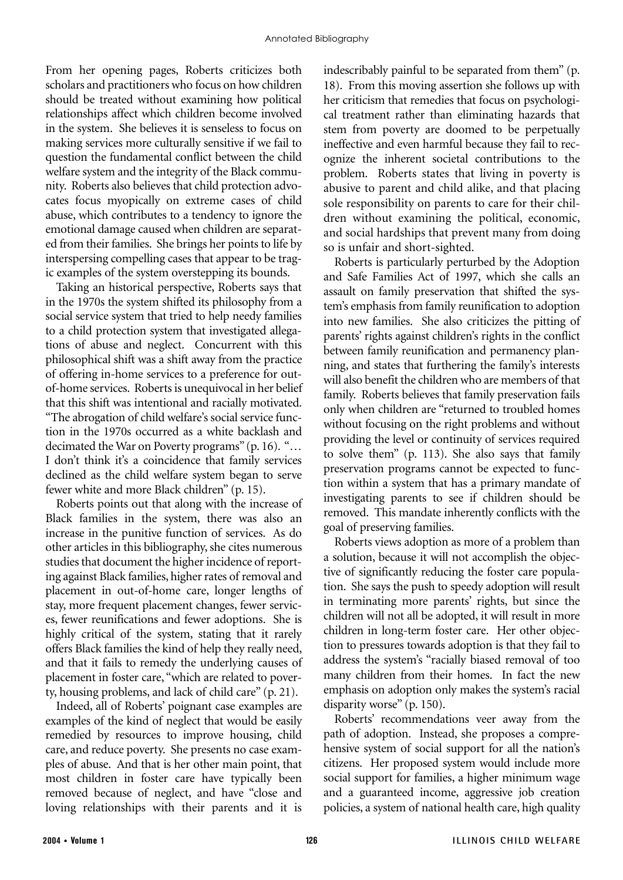From her opening pages, Roberts criticizes both scholars and practitioners who focus on how children should be treated without examining how political relationships affect which children become involved in the system. She believes it is senseless to focus on making services more culturally sensitive if we fail to question the fundamental conflict between the child welfare system and the integrity of the Black community. Roberts also believes that child protection advocates focus myopically on extreme cases of child abuse, which contributes to a tendency to ignore the emotional damage caused when children are separated from their families. She brings her points to life by interspersing compelling cases that appear to be tragic examples of the system overstepping its bounds.

Taking an historical perspective, Roberts says that in the 1970s the system shifted its philosophy from a social service system that tried to help needy families to a child protection system that investigated allegations of abuse and neglect. Concurrent with this philosophical shift was a shift away from the practice of offering in-home services to a preference for outof-home services. Roberts is unequivocal in her belief that this shift was intentional and racially motivated. "The abrogation of child welfare's social service function in the 1970s occurred as a white backlash and decimated the War on Poverty programs" (p. 16). "… I don't think it's a coincidence that family services declined as the child welfare system began to serve fewer white and more Black children" (p. 15).

Roberts points out that along with the increase of Black families in the system, there was also an increase in the punitive function of services. As do other articles in this bibliography, she cites numerous studies that document the higher incidence of reporting against Black families, higher rates of removal and placement in out-of-home care, longer lengths of stay, more frequent placement changes, fewer services, fewer reunifications and fewer adoptions. She is highly critical of the system, stating that it rarely offers Black families the kind of help they really need, and that it fails to remedy the underlying causes of placement in foster care, "which are related to poverty, housing problems, and lack of child care" (p. 21).

Indeed, all of Roberts' poignant case examples are examples of the kind of neglect that would be easily remedied by resources to improve housing, child care, and reduce poverty. She presents no case examples of abuse. And that is her other main point, that most children in foster care have typically been removed because of neglect, and have "close and loving relationships with their parents and it is

indescribably painful to be separated from them" (p. 18). From this moving assertion she follows up with her criticism that remedies that focus on psychological treatment rather than eliminating hazards that stem from poverty are doomed to be perpetually ineffective and even harmful because they fail to recognize the inherent societal contributions to the problem. Roberts states that living in poverty is abusive to parent and child alike, and that placing sole responsibility on parents to care for their children without examining the political, economic, and social hardships that prevent many from doing so is unfair and short-sighted.

Roberts is particularly perturbed by the Adoption and Safe Families Act of 1997, which she calls an assault on family preservation that shifted the system's emphasis from family reunification to adoption into new families. She also criticizes the pitting of parents' rights against children's rights in the conflict between family reunification and permanency planning, and states that furthering the family's interests will also benefit the children who are members of that family. Roberts believes that family preservation fails only when children are "returned to troubled homes without focusing on the right problems and without providing the level or continuity of services required to solve them" (p. 113). She also says that family preservation programs cannot be expected to function within a system that has a primary mandate of investigating parents to see if children should be removed. This mandate inherently conflicts with the goal of preserving families.

Roberts views adoption as more of a problem than a solution, because it will not accomplish the objective of significantly reducing the foster care population. She says the push to speedy adoption will result in terminating more parents' rights, but since the children will not all be adopted, it will result in more children in long-term foster care. Her other objection to pressures towards adoption is that they fail to address the system's "racially biased removal of too many children from their homes. In fact the new emphasis on adoption only makes the system's racial disparity worse" (p. 150).

Roberts' recommendations veer away from the path of adoption. Instead, she proposes a comprehensive system of social support for all the nation's citizens. Her proposed system would include more social support for families, a higher minimum wage and a guaranteed income, aggressive job creation policies, a system of national health care, high quality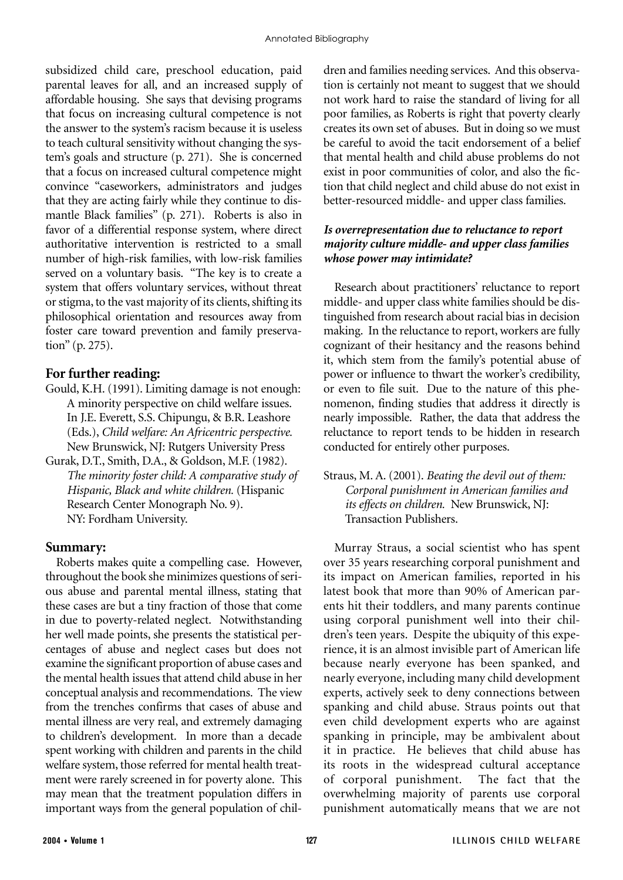subsidized child care, preschool education, paid parental leaves for all, and an increased supply of affordable housing. She says that devising programs that focus on increasing cultural competence is not the answer to the system's racism because it is useless to teach cultural sensitivity without changing the system's goals and structure (p. 271). She is concerned that a focus on increased cultural competence might convince "caseworkers, administrators and judges that they are acting fairly while they continue to dismantle Black families" (p. 271). Roberts is also in favor of a differential response system, where direct authoritative intervention is restricted to a small number of high-risk families, with low-risk families served on a voluntary basis. "The key is to create a system that offers voluntary services, without threat or stigma, to the vast majority of its clients, shifting its philosophical orientation and resources away from foster care toward prevention and family preservation" (p. 275).

## **For further reading:**

- Gould, K.H. (1991). Limiting damage is not enough: A minority perspective on child welfare issues. In J.E. Everett, S.S. Chipungu, & B.R. Leashore (Eds.), *Child welfare: An Africentric perspective.* New Brunswick, NJ: Rutgers University Press
- Gurak, D.T., Smith, D.A., & Goldson, M.F. (1982). *The minority foster child: A comparative study of Hispanic, Black and white children.* (Hispanic Research Center Monograph No. 9). NY: Fordham University.

#### **Summary:**

Roberts makes quite a compelling case. However, throughout the book she minimizes questions of serious abuse and parental mental illness, stating that these cases are but a tiny fraction of those that come in due to poverty-related neglect. Notwithstanding her well made points, she presents the statistical percentages of abuse and neglect cases but does not examine the significant proportion of abuse cases and the mental health issues that attend child abuse in her conceptual analysis and recommendations. The view from the trenches confirms that cases of abuse and mental illness are very real, and extremely damaging to children's development. In more than a decade spent working with children and parents in the child welfare system, those referred for mental health treatment were rarely screened in for poverty alone. This may mean that the treatment population differs in important ways from the general population of children and families needing services. And this observation is certainly not meant to suggest that we should not work hard to raise the standard of living for all poor families, as Roberts is right that poverty clearly creates its own set of abuses. But in doing so we must be careful to avoid the tacit endorsement of a belief that mental health and child abuse problems do not exist in poor communities of color, and also the fiction that child neglect and child abuse do not exist in better-resourced middle- and upper class families.

#### *Is overrepresentation due to reluctance to report majority culture middle- and upper class families whose power may intimidate?*

Research about practitioners' reluctance to report middle- and upper class white families should be distinguished from research about racial bias in decision making. In the reluctance to report, workers are fully cognizant of their hesitancy and the reasons behind it, which stem from the family's potential abuse of power or influence to thwart the worker's credibility, or even to file suit. Due to the nature of this phenomenon, finding studies that address it directly is nearly impossible. Rather, the data that address the reluctance to report tends to be hidden in research conducted for entirely other purposes.

Straus, M. A. (2001). *Beating the devil out of them: Corporal punishment in American families and its effects on children.* New Brunswick, NJ: Transaction Publishers.

Murray Straus, a social scientist who has spent over 35 years researching corporal punishment and its impact on American families, reported in his latest book that more than 90% of American parents hit their toddlers, and many parents continue using corporal punishment well into their children's teen years. Despite the ubiquity of this experience, it is an almost invisible part of American life because nearly everyone has been spanked, and nearly everyone, including many child development experts, actively seek to deny connections between spanking and child abuse. Straus points out that even child development experts who are against spanking in principle, may be ambivalent about it in practice. He believes that child abuse has its roots in the widespread cultural acceptance of corporal punishment. The fact that the overwhelming majority of parents use corporal punishment automatically means that we are not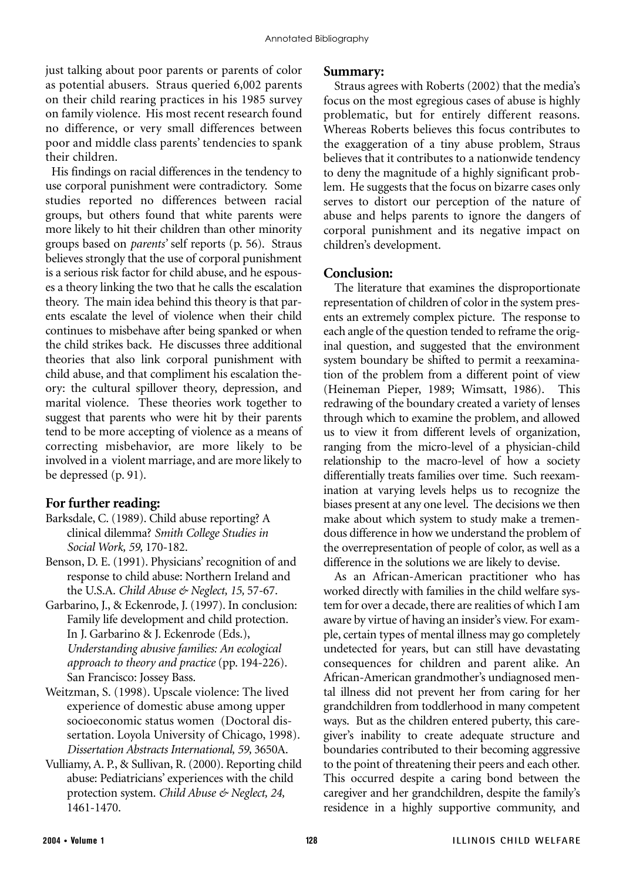just talking about poor parents or parents of color as potential abusers. Straus queried 6,002 parents on their child rearing practices in his 1985 survey on family violence. His most recent research found no difference, or very small differences between poor and middle class parents' tendencies to spank their children.

His findings on racial differences in the tendency to use corporal punishment were contradictory. Some studies reported no differences between racial groups, but others found that white parents were more likely to hit their children than other minority groups based on *parents'* self reports (p. 56). Straus believes strongly that the use of corporal punishment is a serious risk factor for child abuse, and he espouses a theory linking the two that he calls the escalation theory. The main idea behind this theory is that parents escalate the level of violence when their child continues to misbehave after being spanked or when the child strikes back. He discusses three additional theories that also link corporal punishment with child abuse, and that compliment his escalation theory: the cultural spillover theory, depression, and marital violence. These theories work together to suggest that parents who were hit by their parents tend to be more accepting of violence as a means of correcting misbehavior, are more likely to be involved in a violent marriage, and are more likely to be depressed (p. 91).

## **For further reading:**

- Barksdale, C. (1989). Child abuse reporting? A clinical dilemma? *Smith College Studies in Social Work, 59,* 170-182.
- Benson, D. E. (1991). Physicians' recognition of and response to child abuse: Northern Ireland and the U.S.A. *Child Abuse & Neglect, 15,* 57-67.
- Garbarino, J., & Eckenrode, J. (1997). In conclusion: Family life development and child protection. In J. Garbarino & J. Eckenrode (Eds.), *Understanding abusive families: An ecological approach to theory and practice* (pp. 194-226). San Francisco: Jossey Bass.
- Weitzman, S. (1998). Upscale violence: The lived experience of domestic abuse among upper socioeconomic status women (Doctoral dissertation. Loyola University of Chicago, 1998). *Dissertation Abstracts International, 59,* 3650A.
- Vulliamy, A. P., & Sullivan, R. (2000). Reporting child abuse: Pediatricians' experiences with the child protection system. *Child Abuse & Neglect, 24,* 1461-1470.

#### **Summary:**

Straus agrees with Roberts (2002) that the media's focus on the most egregious cases of abuse is highly problematic, but for entirely different reasons. Whereas Roberts believes this focus contributes to the exaggeration of a tiny abuse problem, Straus believes that it contributes to a nationwide tendency to deny the magnitude of a highly significant problem. He suggests that the focus on bizarre cases only serves to distort our perception of the nature of abuse and helps parents to ignore the dangers of corporal punishment and its negative impact on children's development.

## **Conclusion:**

The literature that examines the disproportionate representation of children of color in the system presents an extremely complex picture. The response to each angle of the question tended to reframe the original question, and suggested that the environment system boundary be shifted to permit a reexamination of the problem from a different point of view (Heineman Pieper, 1989; Wimsatt, 1986). This redrawing of the boundary created a variety of lenses through which to examine the problem, and allowed us to view it from different levels of organization, ranging from the micro-level of a physician-child relationship to the macro-level of how a society differentially treats families over time. Such reexamination at varying levels helps us to recognize the biases present at any one level. The decisions we then make about which system to study make a tremendous difference in how we understand the problem of the overrepresentation of people of color, as well as a difference in the solutions we are likely to devise.

As an African-American practitioner who has worked directly with families in the child welfare system for over a decade, there are realities of which I am aware by virtue of having an insider's view. For example, certain types of mental illness may go completely undetected for years, but can still have devastating consequences for children and parent alike. An African-American grandmother's undiagnosed mental illness did not prevent her from caring for her grandchildren from toddlerhood in many competent ways. But as the children entered puberty, this caregiver's inability to create adequate structure and boundaries contributed to their becoming aggressive to the point of threatening their peers and each other. This occurred despite a caring bond between the caregiver and her grandchildren, despite the family's residence in a highly supportive community, and